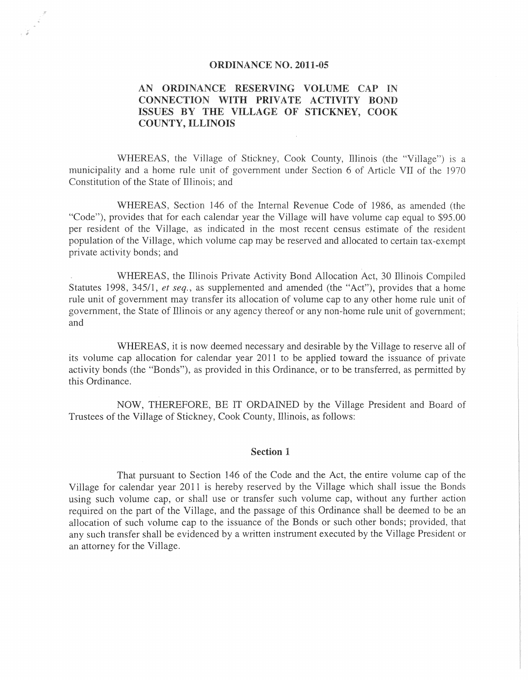#### ORDINANCE NO. 2011-05

# AN ORDINANCE RESERVING VOLUME CAP IN CONNECTION WITH PRIVATE ACTIVITY BOND ISSUES BY THE VILLAGE OF STICKNEY, COOK COUNTY, ILLINOIS

WHEREAS, the Village of Stickney, Cook County, Illinois (the "Village") is a municipality and a horne rule unit of government under Section 6 of Article VII of the 1970 Constitution of the State of Illinois; and

WHEREAS, Section 146 of the Internal Revenue Code of 1986, as amended (the "Code"), provides that for each calendar year the Village will have volume cap equal to \$95.00 per resident of the Village, as indicated in the most recent census estimate of the resident population of the Village, which volume cap may be reserved and allocated to certain tax-exempt private activity bonds; and

WHEREAS, the lllinois Private Activity Bond Allocation Act, 30 Illinois Compiled Statutes 1998, *34511, et seq.,* as supplemented and amended (the "Act"), provides that a horne rule unit of government may transfer its allocation of volume cap to any other horne rule unit of government, the State of Illinois or any agency thereof or any non-horne rule unit of government; and

WHEREAS, it is now deemed necessary and desirable by the Village to reserve all of its volume cap allocation for calendar year 2011 to be applied toward the issuance of private activity bonds (the "Bonds"), as provided in this Ordinance, or to be transferred, as permitted by this Ordinance.

NOW, THEREFORE, BE IT ORDAINED by the Village President and Board of Trustees of the Village of Stickney, Cook County, Illinois, as follows:

#### Section 1

That pursuant to Section 146 of the Code and the Act, the entire volume cap of the Village for calendar year 2011 is hereby reserved by the Village which shall issue the Bonds using such volume cap, or shall use or transfer such volume cap, without any further action required on the part of the Village, and the passage of this Ordinance shall be deemed to be an allocation of such volume cap to the issuance of the Bonds or such other bonds; provided, that any such transfer shall be evidenced by a written instrument executed by the Village President or an attorney for the Village.